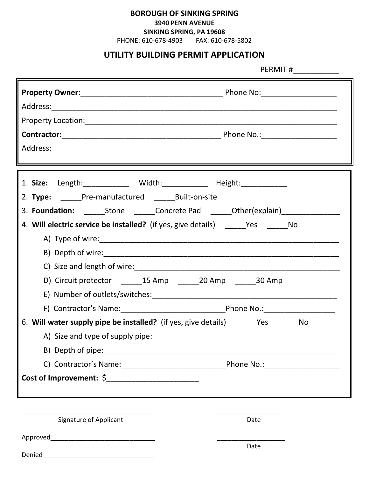## **BOROUGH OF SINKING SPRING**

**3940 PENN AVENUE**

**SINKING SPRING, PA 19608**

PHONE: 610-678-4903 FAX: 610-678-5802

## **UTILITY BUILDING PERMIT APPLICATION**

PERMIT #\_\_\_\_\_\_\_\_\_\_\_

| 1. Size: Length: ____________ Width: ___________ Height: ____________<br>2. Type: _____Pre-manufactured ______Built-on-site<br>3. Foundation: ________Stone ________Concrete Pad _______Other(explain)________________ |                                     |
|------------------------------------------------------------------------------------------------------------------------------------------------------------------------------------------------------------------------|-------------------------------------|
| 4. Will electric service be installed? (if yes, give details) _______Yes ________No                                                                                                                                    |                                     |
|                                                                                                                                                                                                                        |                                     |
|                                                                                                                                                                                                                        |                                     |
|                                                                                                                                                                                                                        |                                     |
| D) Circuit protector _______15 Amp _______20 Amp _______30 Amp                                                                                                                                                         |                                     |
|                                                                                                                                                                                                                        |                                     |
|                                                                                                                                                                                                                        |                                     |
| 6. Will water supply pipe be installed? (if yes, give details) ______Yes ______No                                                                                                                                      |                                     |
|                                                                                                                                                                                                                        |                                     |
|                                                                                                                                                                                                                        |                                     |
|                                                                                                                                                                                                                        | _Phone No.:________________________ |
|                                                                                                                                                                                                                        |                                     |
|                                                                                                                                                                                                                        |                                     |
|                                                                                                                                                                                                                        |                                     |
| Signature of Applicant                                                                                                                                                                                                 | Date                                |
|                                                                                                                                                                                                                        |                                     |
|                                                                                                                                                                                                                        | Date                                |
| Denied                                                                                                                                                                                                                 |                                     |